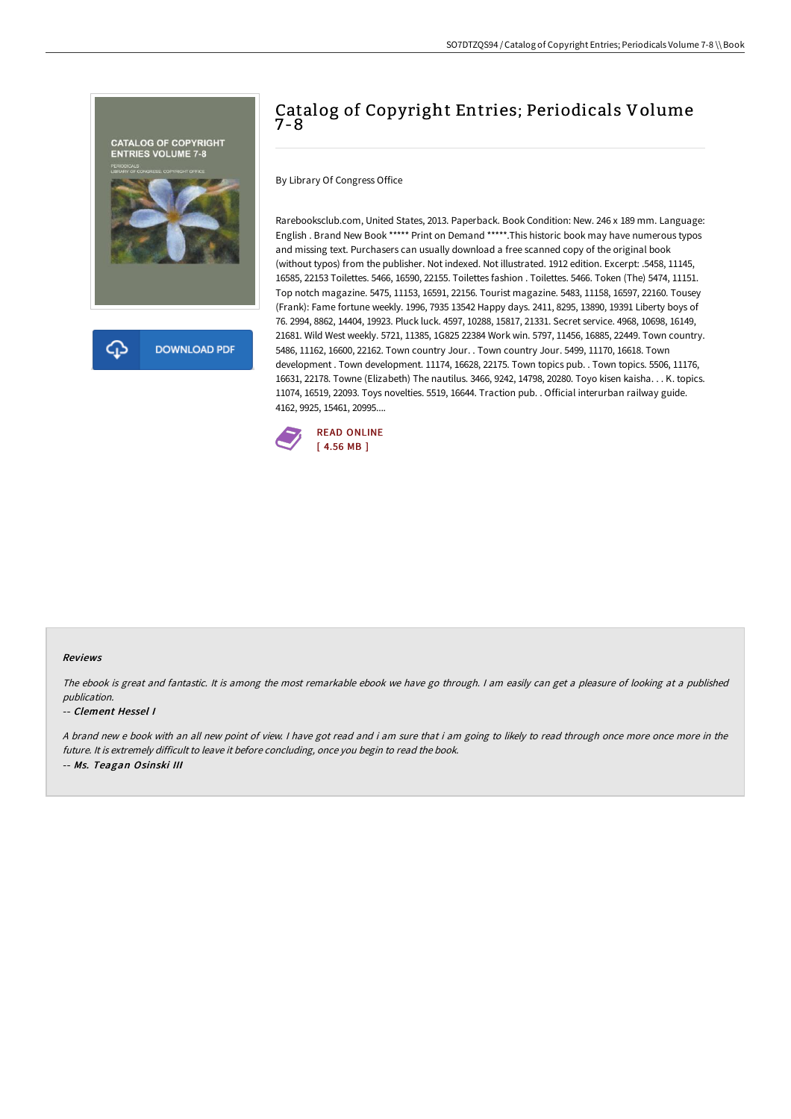

# Catalog of Copyright Entries; Periodicals Volume 7-8

By Library Of Congress Office

Rarebooksclub.com, United States, 2013. Paperback. Book Condition: New. 246 x 189 mm. Language: English . Brand New Book \*\*\*\*\* Print on Demand \*\*\*\*\*.This historic book may have numerous typos and missing text. Purchasers can usually download a free scanned copy of the original book (without typos) from the publisher. Not indexed. Not illustrated. 1912 edition. Excerpt: .5458, 11145, 16585, 22153 Toilettes. 5466, 16590, 22155. Toilettes fashion . Toilettes. 5466. Token (The) 5474, 11151. Top notch magazine. 5475, 11153, 16591, 22156. Tourist magazine. 5483, 11158, 16597, 22160. Tousey (Frank): Fame fortune weekly. 1996, 7935 13542 Happy days. 2411, 8295, 13890, 19391 Liberty boys of 76. 2994, 8862, 14404, 19923. Pluck luck. 4597, 10288, 15817, 21331. Secret service. 4968, 10698, 16149, 21681. Wild West weekly. 5721, 11385, 1G825 22384 Work win. 5797, 11456, 16885, 22449. Town country. 5486, 11162, 16600, 22162. Town country Jour. . Town country Jour. 5499, 11170, 16618. Town development . Town development. 11174, 16628, 22175. Town topics pub. . Town topics. 5506, 11176, 16631, 22178. Towne (Elizabeth) The nautilus. 3466, 9242, 14798, 20280. Toyo kisen kaisha. . . K. topics. 11074, 16519, 22093. Toys novelties. 5519, 16644. Traction pub. . Official interurban railway guide. 4162, 9925, 15461, 20995....



#### Reviews

The ebook is great and fantastic. It is among the most remarkable ebook we have go through. <sup>I</sup> am easily can get <sup>a</sup> pleasure of looking at <sup>a</sup> published publication.

#### -- Clement Hessel I

<sup>A</sup> brand new <sup>e</sup> book with an all new point of view. <sup>I</sup> have got read and i am sure that i am going to likely to read through once more once more in the future. It is extremely difficult to leave it before concluding, once you begin to read the book. -- Ms. Teagan Osinski III